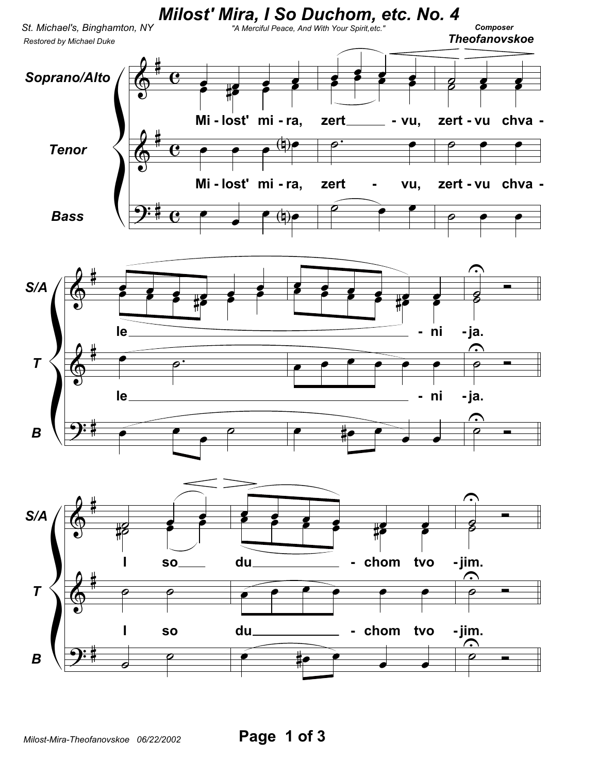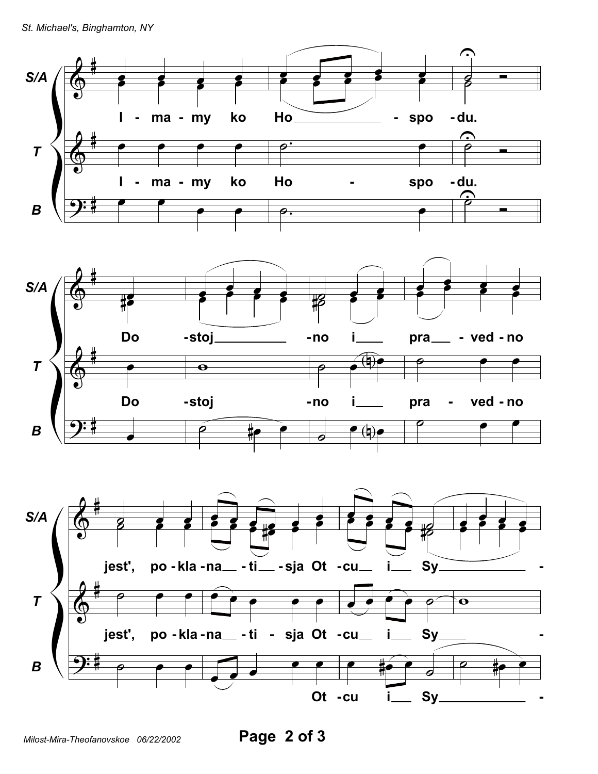





Milost-Mira-Theofanovskoe 06/22/2002

Page 2 of 3